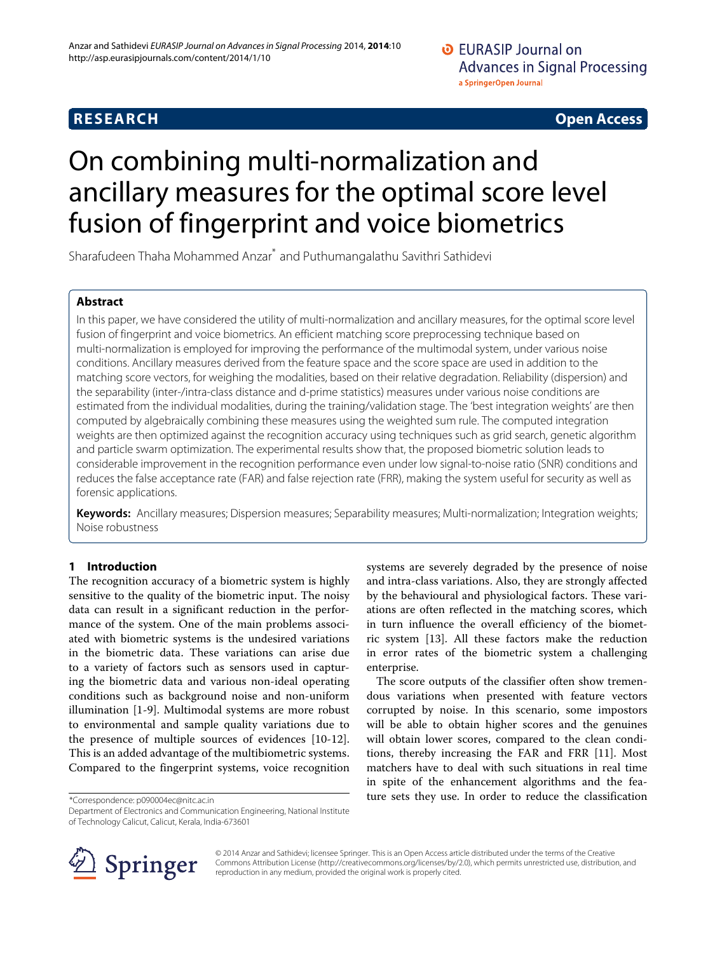**RESEARCH Open Access**

# On combining multi-normalization and ancillary measures for the optimal score level fusion of fingerprint and voice biometrics

Sharafudeen Thaha Mohammed Anzar\* and Puthumangalathu Savithri Sathidevi

# **Abstract**

In this paper, we have considered the utility of multi-normalization and ancillary measures, for the optimal score level fusion of fingerprint and voice biometrics. An efficient matching score preprocessing technique based on multi-normalization is employed for improving the performance of the multimodal system, under various noise conditions. Ancillary measures derived from the feature space and the score space are used in addition to the matching score vectors, for weighing the modalities, based on their relative degradation. Reliability (dispersion) and the separability (inter-/intra-class distance and d-prime statistics) measures under various noise conditions are estimated from the individual modalities, during the training/validation stage. The 'best integration weights' are then computed by algebraically combining these measures using the weighted sum rule. The computed integration weights are then optimized against the recognition accuracy using techniques such as grid search, genetic algorithm and particle swarm optimization. The experimental results show that, the proposed biometric solution leads to considerable improvement in the recognition performance even under low signal-to-noise ratio (SNR) conditions and reduces the false acceptance rate (FAR) and false rejection rate (FRR), making the system useful for security as well as forensic applications.

**Keywords:** Ancillary measures; Dispersion measures; Separability measures; Multi-normalization; Integration weights; Noise robustness

# **1 Introduction**

The recognition accuracy of a biometric system is highly sensitive to the quality of the biometric input. The noisy data can result in a significant reduction in the performance of the system. One of the main problems associated with biometric systems is the undesired variations in the biometric data. These variations can arise due to a variety of factors such as sensors used in capturing the biometric data and various non-ideal operating conditions such as background noise and non-uniform illumination [\[1-](#page-15-0)[9\]](#page-15-1). Multimodal systems are more robust to environmental and sample quality variations due to the presence of multiple sources of evidences [\[10](#page-15-2)[-12\]](#page-15-3). This is an added advantage of the multibiometric systems. Compared to the fingerprint systems, voice recognition

\*Correspondence: [p090004ec@nitc.ac.in](mailto:p090004ec@nitc.ac.in)

Department of Electronics and Communication Engineering, National Institute of Technology Calicut, Calicut, Kerala, India-673601

systems are severely degraded by the presence of noise and intra-class variations. Also, they are strongly affected by the behavioural and physiological factors. These variations are often reflected in the matching scores, which in turn influence the overall efficiency of the biometric system [\[13\]](#page-15-4). All these factors make the reduction in error rates of the biometric system a challenging enterprise.

The score outputs of the classifier often show tremendous variations when presented with feature vectors corrupted by noise. In this scenario, some impostors will be able to obtain higher scores and the genuines will obtain lower scores, compared to the clean conditions, thereby increasing the FAR and FRR [\[11\]](#page-15-5). Most matchers have to deal with such situations in real time in spite of the enhancement algorithms and the feature sets they use. In order to reduce the classification



© 2014 Anzar and Sathidevi; licensee Springer. This is an Open Access article distributed under the terms of the Creative Commons Attribution License [\(http://creativecommons.org/licenses/by/2.0\)](http://creativecommons.org/licenses/by/2.0), which permits unrestricted use, distribution, and reproduction in any medium, provided the original work is properly cited.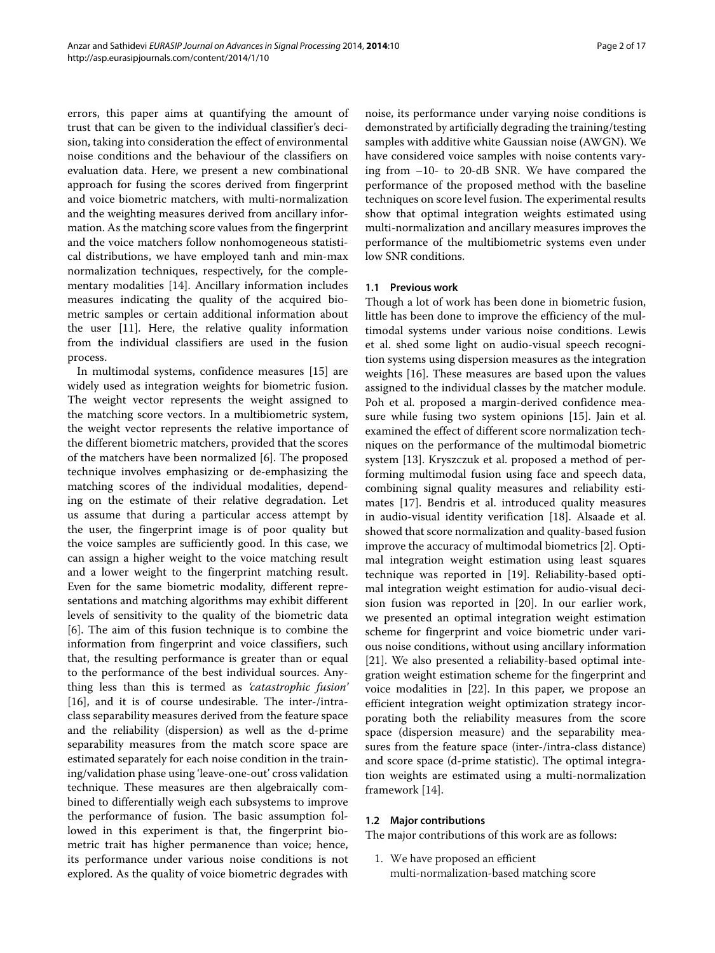errors, this paper aims at quantifying the amount of trust that can be given to the individual classifier's decision, taking into consideration the effect of environmental noise conditions and the behaviour of the classifiers on evaluation data. Here, we present a new combinational approach for fusing the scores derived from fingerprint and voice biometric matchers, with multi-normalization and the weighting measures derived from ancillary information. As the matching score values from the fingerprint and the voice matchers follow nonhomogeneous statistical distributions, we have employed tanh and min-max normalization techniques, respectively, for the complementary modalities [\[14\]](#page-15-6). Ancillary information includes measures indicating the quality of the acquired biometric samples or certain additional information about the user [\[11\]](#page-15-5). Here, the relative quality information from the individual classifiers are used in the fusion process.

In multimodal systems, confidence measures [\[15\]](#page-15-7) are widely used as integration weights for biometric fusion. The weight vector represents the weight assigned to the matching score vectors. In a multibiometric system, the weight vector represents the relative importance of the different biometric matchers, provided that the scores of the matchers have been normalized [\[6\]](#page-15-8). The proposed technique involves emphasizing or de-emphasizing the matching scores of the individual modalities, depending on the estimate of their relative degradation. Let us assume that during a particular access attempt by the user, the fingerprint image is of poor quality but the voice samples are sufficiently good. In this case, we can assign a higher weight to the voice matching result and a lower weight to the fingerprint matching result. Even for the same biometric modality, different representations and matching algorithms may exhibit different levels of sensitivity to the quality of the biometric data [\[6\]](#page-15-8). The aim of this fusion technique is to combine the information from fingerprint and voice classifiers, such that, the resulting performance is greater than or equal to the performance of the best individual sources. Anything less than this is termed as *'catastrophic fusion'* [\[16\]](#page-15-9), and it is of course undesirable. The inter-/intraclass separability measures derived from the feature space and the reliability (dispersion) as well as the d-prime separability measures from the match score space are estimated separately for each noise condition in the training/validation phase using 'leave-one-out' cross validation technique. These measures are then algebraically combined to differentially weigh each subsystems to improve the performance of fusion. The basic assumption followed in this experiment is that, the fingerprint biometric trait has higher permanence than voice; hence, its performance under various noise conditions is not explored. As the quality of voice biometric degrades with

noise, its performance under varying noise conditions is demonstrated by artificially degrading the training/testing samples with additive white Gaussian noise (AWGN). We have considered voice samples with noise contents varying from –10- to 20-dB SNR. We have compared the performance of the proposed method with the baseline techniques on score level fusion. The experimental results show that optimal integration weights estimated using multi-normalization and ancillary measures improves the performance of the multibiometric systems even under low SNR conditions.

# **1.1 Previous work**

Though a lot of work has been done in biometric fusion, little has been done to improve the efficiency of the multimodal systems under various noise conditions. Lewis et al. shed some light on audio-visual speech recognition systems using dispersion measures as the integration weights [\[16\]](#page-15-9). These measures are based upon the values assigned to the individual classes by the matcher module. Poh et al. proposed a margin-derived confidence measure while fusing two system opinions [\[15\]](#page-15-7). Jain et al. examined the effect of different score normalization techniques on the performance of the multimodal biometric system [\[13\]](#page-15-4). Kryszczuk et al. proposed a method of performing multimodal fusion using face and speech data, combining signal quality measures and reliability estimates [\[17\]](#page-15-10). Bendris et al. introduced quality measures in audio-visual identity verification [\[18\]](#page-15-11). Alsaade et al. showed that score normalization and quality-based fusion improve the accuracy of multimodal biometrics [\[2\]](#page-15-12). Optimal integration weight estimation using least squares technique was reported in [\[19\]](#page-15-13). Reliability-based optimal integration weight estimation for audio-visual decision fusion was reported in [\[20\]](#page-15-14). In our earlier work, we presented an optimal integration weight estimation scheme for fingerprint and voice biometric under various noise conditions, without using ancillary information [\[21\]](#page-15-15). We also presented a reliability-based optimal integration weight estimation scheme for the fingerprint and voice modalities in [\[22\]](#page-15-16). In this paper, we propose an efficient integration weight optimization strategy incorporating both the reliability measures from the score space (dispersion measure) and the separability measures from the feature space (inter-/intra-class distance) and score space (d-prime statistic). The optimal integration weights are estimated using a multi-normalization framework [\[14\]](#page-15-6).

### **1.2 Major contributions**

The major contributions of this work are as follows:

1. We have proposed an efficient multi-normalization-based matching score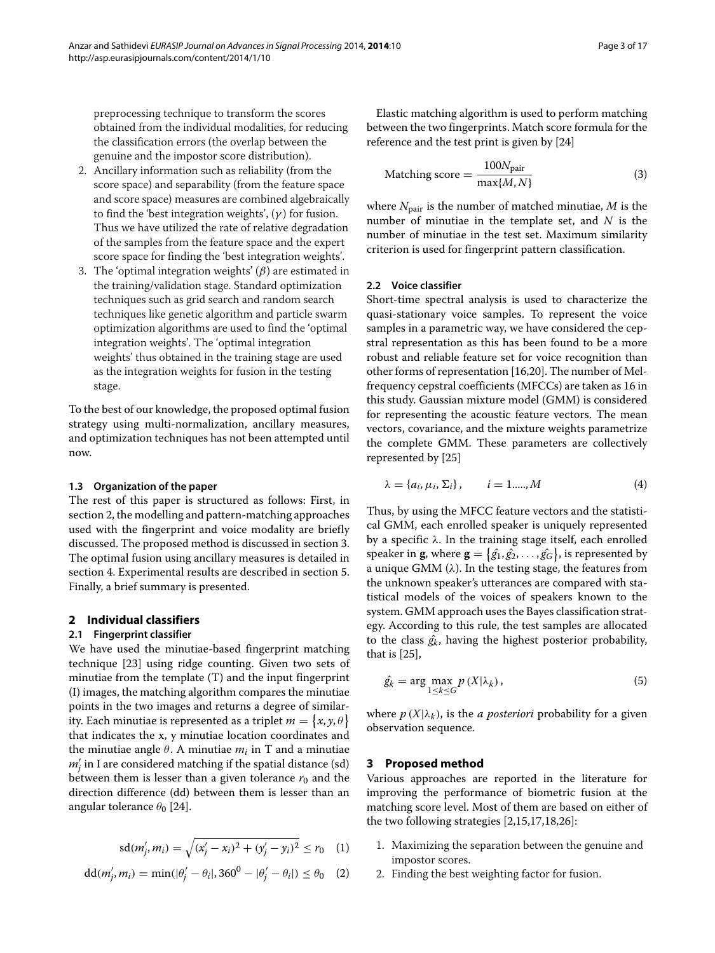preprocessing technique to transform the scores obtained from the individual modalities, for reducing the classification errors (the overlap between the genuine and the impostor score distribution).

- 2. Ancillary information such as reliability (from the score space) and separability (from the feature space and score space) measures are combined algebraically to find the 'best integration weights', (*γ* ) for fusion. Thus we have utilized the rate of relative degradation of the samples from the feature space and the expert score space for finding the 'best integration weights'.
- 3. The 'optimal integration weights' (*β*) are estimated in the training/validation stage. Standard optimization techniques such as grid search and random search techniques like genetic algorithm and particle swarm optimization algorithms are used to find the 'optimal integration weights'. The 'optimal integration weights' thus obtained in the training stage are used as the integration weights for fusion in the testing stage.

To the best of our knowledge, the proposed optimal fusion strategy using multi-normalization, ancillary measures, and optimization techniques has not been attempted until now.

# **1.3 Organization of the paper**

The rest of this paper is structured as follows: First, in section [2,](#page-2-0) the modelling and pattern-matching approaches used with the fingerprint and voice modality are briefly discussed. The proposed method is discussed in section [3.](#page-2-1) The optimal fusion using ancillary measures is detailed in section [4.](#page-5-0) Experimental results are described in section [5.](#page-7-0) Finally, a brief summary is presented.

# <span id="page-2-0"></span>**2 Individual classifiers**

# **2.1 Fingerprint classifier**

We have used the minutiae-based fingerprint matching technique [\[23\]](#page-15-17) using ridge counting. Given two sets of minutiae from the template (T) and the input fingerprint (I) images, the matching algorithm compares the minutiae points in the two images and returns a degree of similarity. Each minutiae is represented as a triplet  $m = \{x, y, \theta\}$ that indicates the x, y minutiae location coordinates and the minutiae angle  $\theta$ . A minutiae  $m_i$  in T and a minutiae  $m'_j$  in I are considered matching if the spatial distance (sd) between them is lesser than a given tolerance  $r_0$  and the direction difference (dd) between them is lesser than an angular tolerance  $\theta_0$  [\[24\]](#page-15-18).

$$
sd(m'_{j}, m_{i}) = \sqrt{(x'_{j} - x_{i})^{2} + (y'_{j} - y_{i})^{2}} \leq r_{0} \quad (1)
$$

$$
dd(m'_{j}, m_{i}) = \min(|\theta'_{j} - \theta_{i}|, 360^{0} - |\theta'_{j} - \theta_{i}|) \le \theta_{0} \quad (2)
$$

Elastic matching algorithm is used to perform matching between the two fingerprints. Match score formula for the reference and the test print is given by [\[24\]](#page-15-18)

$$
Matching score = \frac{100N_{pair}}{max\{M, N\}}
$$
 (3)

where  $N_{\text{pair}}$  is the number of matched minutiae,  $M$  is the number of minutiae in the template set, and *N* is the number of minutiae in the test set. Maximum similarity criterion is used for fingerprint pattern classification.

# **2.2 Voice classifier**

Short-time spectral analysis is used to characterize the quasi-stationary voice samples. To represent the voice samples in a parametric way, we have considered the cepstral representation as this has been found to be a more robust and reliable feature set for voice recognition than other forms of representation [\[16](#page-15-9)[,20\]](#page-15-14). The number of Melfrequency cepstral coefficients (MFCCs) are taken as 16 in this study. Gaussian mixture model (GMM) is considered for representing the acoustic feature vectors. The mean vectors, covariance, and the mixture weights parametrize the complete GMM. These parameters are collectively represented by [\[25\]](#page-15-19)

$$
\lambda = \{a_i, \mu_i, \Sigma_i\}, \qquad i = 1, \dots, M
$$
 (4)

Thus, by using the MFCC feature vectors and the statistical GMM, each enrolled speaker is uniquely represented by a specific *λ*. In the training stage itself, each enrolled speaker in **g**, where  $\mathbf{g} = \{\hat{g_1}, \hat{g_2}, \dots, \hat{g_G}\}\$ , is represented by a unique GMM (*λ*). In the testing stage, the features from the unknown speaker's utterances are compared with statistical models of the voices of speakers known to the system. GMM approach uses the Bayes classification strategy. According to this rule, the test samples are allocated to the class  $\hat{g_k}$ , having the highest posterior probability, that is [\[25\]](#page-15-19),

$$
\hat{g_k} = \arg \max_{1 \le k \le G} p(X|\lambda_k), \tag{5}
$$

where  $p(X|\lambda_k)$ , is the *a posteriori* probability for a given observation sequence.

# <span id="page-2-1"></span>**3 Proposed method**

Various approaches are reported in the literature for improving the performance of biometric fusion at the matching score level. Most of them are based on either of the two following strategies [\[2,](#page-15-12)[15,](#page-15-7)[17,](#page-15-10)[18](#page-15-11)[,26\]](#page-15-20):

- 1. Maximizing the separation between the genuine and impostor scores.
- 2. Finding the best weighting factor for fusion.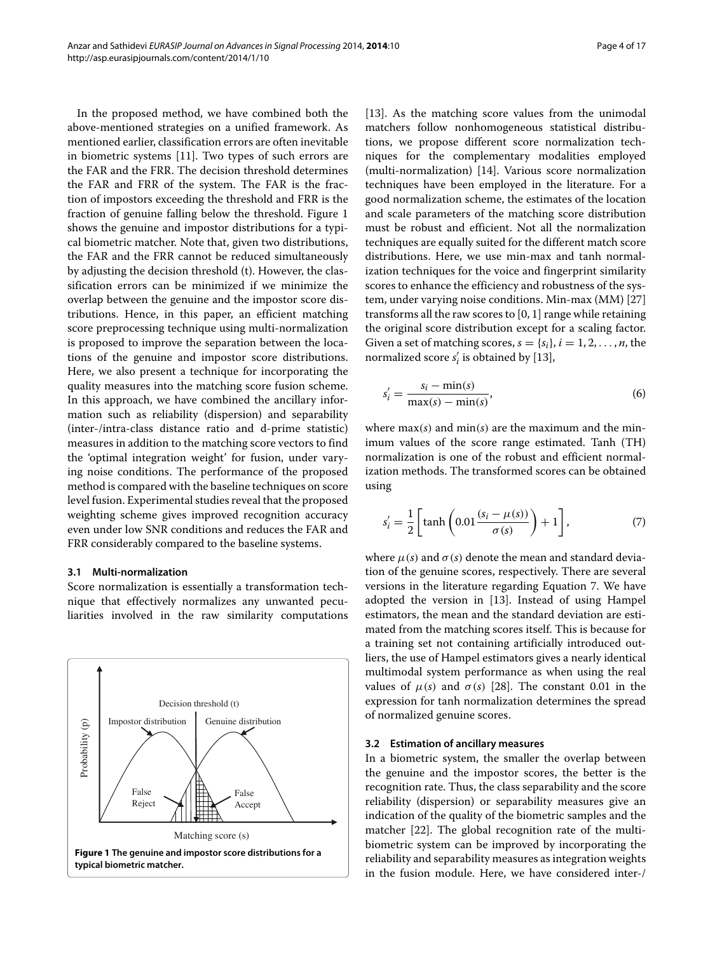In the proposed method, we have combined both the above-mentioned strategies on a unified framework. As mentioned earlier, classification errors are often inevitable in biometric systems [\[11\]](#page-15-5). Two types of such errors are the FAR and the FRR. The decision threshold determines the FAR and FRR of the system. The FAR is the fraction of impostors exceeding the threshold and FRR is the fraction of genuine falling below the threshold. Figure [1](#page-3-0) shows the genuine and impostor distributions for a typical biometric matcher. Note that, given two distributions, the FAR and the FRR cannot be reduced simultaneously by adjusting the decision threshold (t). However, the classification errors can be minimized if we minimize the overlap between the genuine and the impostor score distributions. Hence, in this paper, an efficient matching score preprocessing technique using multi-normalization is proposed to improve the separation between the locations of the genuine and impostor score distributions. Here, we also present a technique for incorporating the quality measures into the matching score fusion scheme. In this approach, we have combined the ancillary information such as reliability (dispersion) and separability (inter-/intra-class distance ratio and d-prime statistic) measures in addition to the matching score vectors to find the 'optimal integration weight' for fusion, under varying noise conditions. The performance of the proposed method is compared with the baseline techniques on score level fusion. Experimental studies reveal that the proposed weighting scheme gives improved recognition accuracy even under low SNR conditions and reduces the FAR and FRR considerably compared to the baseline systems.

# **3.1 Multi-normalization**

Score normalization is essentially a transformation technique that effectively normalizes any unwanted peculiarities involved in the raw similarity computations

<span id="page-3-0"></span>

[\[13\]](#page-15-4). As the matching score values from the unimodal matchers follow nonhomogeneous statistical distributions, we propose different score normalization techniques for the complementary modalities employed (multi-normalization) [\[14\]](#page-15-6). Various score normalization techniques have been employed in the literature. For a good normalization scheme, the estimates of the location and scale parameters of the matching score distribution must be robust and efficient. Not all the normalization techniques are equally suited for the different match score distributions. Here, we use min-max and tanh normalization techniques for the voice and fingerprint similarity scores to enhance the efficiency and robustness of the system, under varying noise conditions. Min-max (MM) [\[27\]](#page-15-21) transforms all the raw scores to [0, 1] range while retaining the original score distribution except for a scaling factor. Given a set of matching scores,  $s = \{s_i\}$ ,  $i = 1, 2, \ldots, n$ , the normalized score  $s_i'$  is obtained by [\[13\]](#page-15-4),

$$
s_i' = \frac{s_i - \min(s)}{\max(s) - \min(s)},
$$
\n(6)

where  $max(s)$  and  $min(s)$  are the maximum and the minimum values of the score range estimated. Tanh (TH) normalization is one of the robust and efficient normalization methods. The transformed scores can be obtained using

<span id="page-3-1"></span>
$$
s_i' = \frac{1}{2} \left[ \tanh \left( 0.01 \frac{(s_i - \mu(s))}{\sigma(s)} \right) + 1 \right],\tag{7}
$$

where  $\mu(s)$  and  $\sigma(s)$  denote the mean and standard deviation of the genuine scores, respectively. There are several versions in the literature regarding Equation [7.](#page-3-1) We have adopted the version in [\[13\]](#page-15-4). Instead of using Hampel estimators, the mean and the standard deviation are estimated from the matching scores itself. This is because for a training set not containing artificially introduced outliers, the use of Hampel estimators gives a nearly identical multimodal system performance as when using the real values of  $\mu(s)$  and  $\sigma(s)$  [\[28\]](#page-15-22). The constant 0.01 in the expression for tanh normalization determines the spread of normalized genuine scores.

#### **3.2 Estimation of ancillary measures**

In a biometric system, the smaller the overlap between the genuine and the impostor scores, the better is the recognition rate. Thus, the class separability and the score reliability (dispersion) or separability measures give an indication of the quality of the biometric samples and the matcher [\[22\]](#page-15-16). The global recognition rate of the multibiometric system can be improved by incorporating the reliability and separability measures as integration weights in the fusion module. Here, we have considered inter-/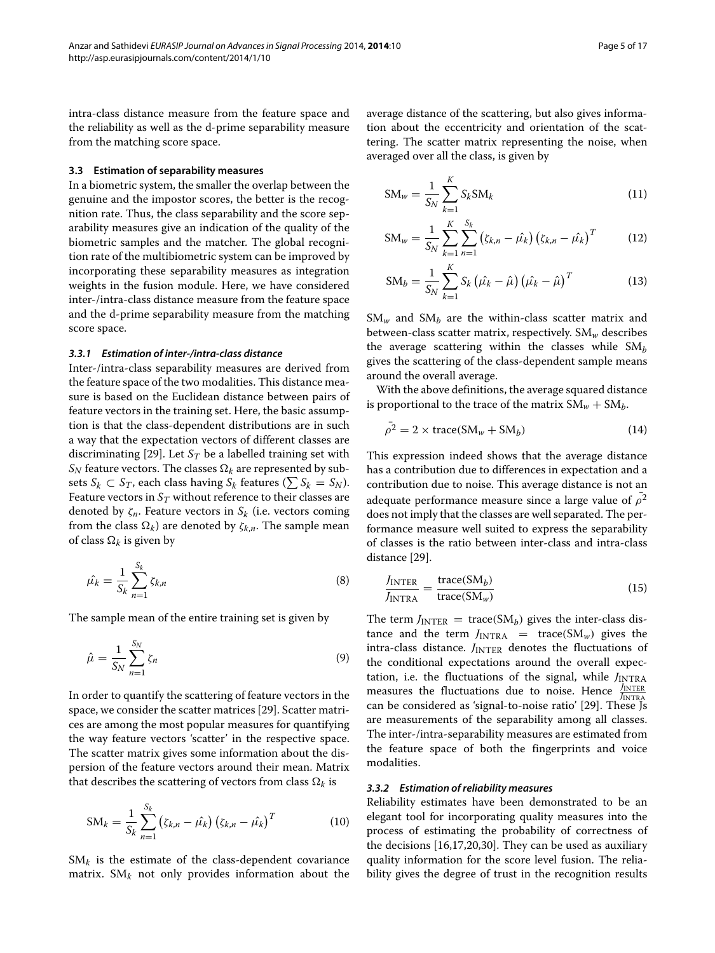intra-class distance measure from the feature space and the reliability as well as the d-prime separability measure from the matching score space.

# **3.3 Estimation of separability measures**

In a biometric system, the smaller the overlap between the genuine and the impostor scores, the better is the recognition rate. Thus, the class separability and the score separability measures give an indication of the quality of the biometric samples and the matcher. The global recognition rate of the multibiometric system can be improved by incorporating these separability measures as integration weights in the fusion module. Here, we have considered inter-/intra-class distance measure from the feature space and the d-prime separability measure from the matching score space.

# *3.3.1 Estimation of inter-/intra-class distance*

Inter-/intra-class separability measures are derived from the feature space of the two modalities. This distance measure is based on the Euclidean distance between pairs of feature vectors in the training set. Here, the basic assumption is that the class-dependent distributions are in such a way that the expectation vectors of different classes are discriminating [\[29\]](#page-15-23). Let  $S_T$  be a labelled training set with  $S_N$  feature vectors. The classes  $\Omega_k$  are represented by subsets  $S_k \subset S_T$ , each class having  $S_k$  features ( $\sum S_k = S_N$ ). Feature vectors in  $S_T$  without reference to their classes are denoted by *ζn*. Feature vectors in *Sk* (i.e. vectors coming from the class  $\Omega_k$ ) are denoted by  $\zeta_{k,n}$ . The sample mean of class  $\Omega_k$  is given by

$$
\hat{\mu_k} = \frac{1}{S_k} \sum_{n=1}^{S_k} \zeta_{k,n} \tag{8}
$$

The sample mean of the entire training set is given by

$$
\hat{\mu} = \frac{1}{S_N} \sum_{n=1}^{S_N} \zeta_n \tag{9}
$$

In order to quantify the scattering of feature vectors in the space, we consider the scatter matrices [\[29\]](#page-15-23). Scatter matrices are among the most popular measures for quantifying the way feature vectors 'scatter' in the respective space. The scatter matrix gives some information about the dispersion of the feature vectors around their mean. Matrix that describes the scattering of vectors from class  $\Omega_k$  is

$$
SM_k = \frac{1}{S_k} \sum_{n=1}^{S_k} \left( \zeta_{k,n} - \hat{\mu_k} \right) \left( \zeta_{k,n} - \hat{\mu_k} \right)^T \tag{10}
$$

 $SM<sub>k</sub>$  is the estimate of the class-dependent covariance matrix.  $SM_k$  not only provides information about the average distance of the scattering, but also gives information about the eccentricity and orientation of the scattering. The scatter matrix representing the noise, when averaged over all the class, is given by

$$
SM_w = \frac{1}{S_N} \sum_{k=1}^{K} S_k SM_k
$$
\n(11)

$$
SM_w = \frac{1}{S_N} \sum_{k=1}^{K} \sum_{n=1}^{S_k} (\zeta_{k,n} - \hat{\mu_k}) (\zeta_{k,n} - \hat{\mu_k})^T
$$
 (12)

$$
SM_b = \frac{1}{S_N} \sum_{k=1}^{K} S_k \left( \hat{\mu_k} - \hat{\mu} \right) \left( \hat{\mu_k} - \hat{\mu} \right)^T \tag{13}
$$

 $SM_w$  and  $SM_b$  are the within-class scatter matrix and between-class scatter matrix, respectively. SM*<sup>w</sup>* describes the average scattering within the classes while SM*<sup>b</sup>* gives the scattering of the class-dependent sample means around the overall average.

With the above definitions, the average squared distance is proportional to the trace of the matrix  $SM_w + SM_b$ .

$$
\bar{\rho^2} = 2 \times \text{trace}(\text{SM}_w + \text{SM}_b)
$$
 (14)

This expression indeed shows that the average distance has a contribution due to differences in expectation and a contribution due to noise. This average distance is not an adequate performance measure since a large value of  $\rho^2$ does not imply that the classes are well separated. The performance measure well suited to express the separability of classes is the ratio between inter-class and intra-class distance [\[29\]](#page-15-23).

$$
\frac{J_{\text{INTER}}}{J_{\text{INTER}} = \frac{\text{trace(SM}_b)}{\text{trace(SM}_w)}
$$
(15)

The term  $J_{\text{INTER}} = \text{trace}(SM_b)$  gives the inter-class distance and the term  $J_{\text{INTRA}}$  = trace(SM<sub>*w*</sub>)</sub> gives the intra-class distance. *J*<sub>INTER</sub> denotes the fluctuations of the conditional expectations around the overall expectation, i.e. the fluctuations of the signal, while *JINTRA* measures the fluctuations due to noise. Hence *JINTER* can be considered as 'signal-to-noise ratio' [\[29\]](#page-15-23). These Js are measurements of the separability among all classes. The inter-/intra-separability measures are estimated from the feature space of both the fingerprints and voice modalities.

# *3.3.2 Estimation of reliability measures*

Reliability estimates have been demonstrated to be an elegant tool for incorporating quality measures into the process of estimating the probability of correctness of the decisions [\[16](#page-15-9)[,17,](#page-15-10)[20,](#page-15-14)[30\]](#page-15-24). They can be used as auxiliary quality information for the score level fusion. The reliability gives the degree of trust in the recognition results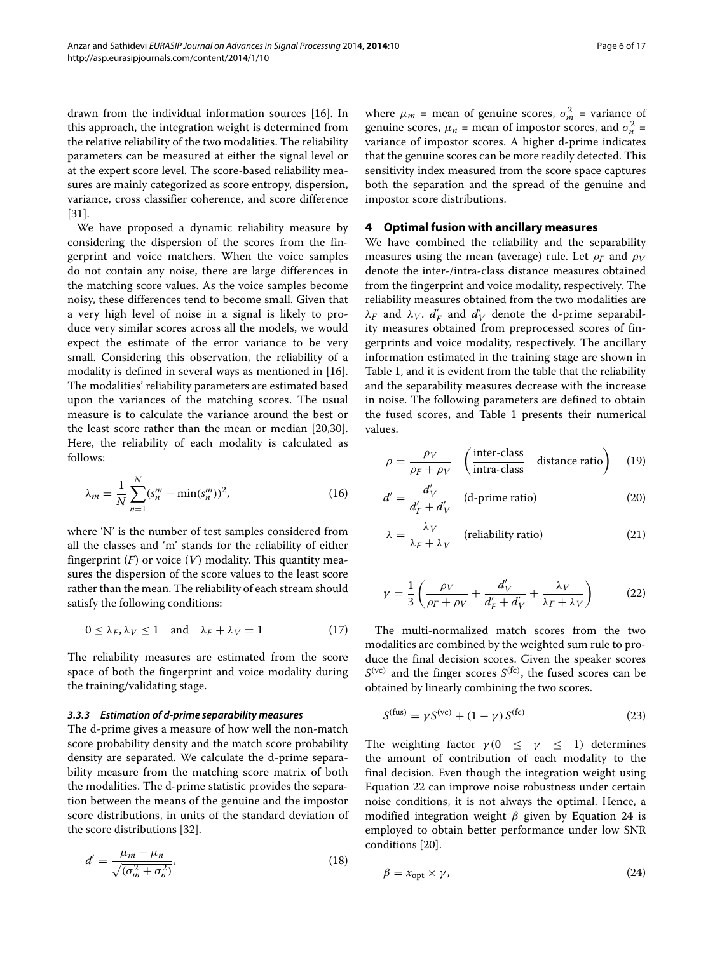drawn from the individual information sources [\[16\]](#page-15-9). In this approach, the integration weight is determined from the relative reliability of the two modalities. The reliability parameters can be measured at either the signal level or at the expert score level. The score-based reliability measures are mainly categorized as score entropy, dispersion, variance, cross classifier coherence, and score difference [\[31\]](#page-15-25).

We have proposed a dynamic reliability measure by considering the dispersion of the scores from the fingerprint and voice matchers. When the voice samples do not contain any noise, there are large differences in the matching score values. As the voice samples become noisy, these differences tend to become small. Given that a very high level of noise in a signal is likely to produce very similar scores across all the models, we would expect the estimate of the error variance to be very small. Considering this observation, the reliability of a modality is defined in several ways as mentioned in [\[16\]](#page-15-9). The modalities' reliability parameters are estimated based upon the variances of the matching scores. The usual measure is to calculate the variance around the best or the least score rather than the mean or median [\[20,](#page-15-14)[30\]](#page-15-24). Here, the reliability of each modality is calculated as follows:

$$
\lambda_m = \frac{1}{N} \sum_{n=1}^{N} (s_n^m - \min(s_n^m))^2,
$$
 (16)

where 'N' is the number of test samples considered from all the classes and 'm' stands for the reliability of either fingerprint  $(F)$  or voice  $(V)$  modality. This quantity measures the dispersion of the score values to the least score rather than the mean. The reliability of each stream should satisfy the following conditions:

$$
0 \leq \lambda_F, \lambda_V \leq 1 \quad \text{and} \quad \lambda_F + \lambda_V = 1 \tag{17}
$$

The reliability measures are estimated from the score space of both the fingerprint and voice modality during the training/validating stage.

# *3.3.3 Estimation of d-prime separability measures*

The d-prime gives a measure of how well the non-match score probability density and the match score probability density are separated. We calculate the d-prime separability measure from the matching score matrix of both the modalities. The d-prime statistic provides the separation between the means of the genuine and the impostor score distributions, in units of the standard deviation of the score distributions [\[32\]](#page-15-26).

$$
d' = \frac{\mu_m - \mu_n}{\sqrt{(\sigma_m^2 + \sigma_n^2)}},\tag{18}
$$

where  $\mu_m$  = mean of genuine scores,  $\sigma_m^2$  = variance of genuine scores,  $\mu_n$  = mean of impostor scores, and  $\sigma_n^2$  = variance of impostor scores. A higher d-prime indicates that the genuine scores can be more readily detected. This sensitivity index measured from the score space captures both the separation and the spread of the genuine and impostor score distributions.

# <span id="page-5-0"></span>**4 Optimal fusion with ancillary measures**

We have combined the reliability and the separability measures using the mean (average) rule. Let  $\rho_F$  and  $\rho_V$ denote the inter-/intra-class distance measures obtained from the fingerprint and voice modality, respectively. The reliability measures obtained from the two modalities are *λ<sub>F</sub>* and  $λ_V$ *. d<sub>F</sub>* and *d<sub>V</sub>* denote the d-prime separability measures obtained from preprocessed scores of fingerprints and voice modality, respectively. The ancillary information estimated in the training stage are shown in Table [1,](#page-6-0) and it is evident from the table that the reliability and the separability measures decrease with the increase in noise. The following parameters are defined to obtain the fused scores, and Table [1](#page-6-0) presents their numerical values.

$$
\rho = \frac{\rho_V}{\rho_F + \rho_V} \quad \left(\frac{\text{inter-class}}{\text{intra-class}} \quad \text{distance ratio}\right) \quad (19)
$$

$$
d' = \frac{d'_V}{d'_F + d'_V} \quad \text{(d-prime ratio)} \tag{20}
$$

$$
\lambda = \frac{\lambda_V}{\lambda_F + \lambda_V}
$$
 (reliability ratio) (21)

<span id="page-5-1"></span>
$$
\gamma = \frac{1}{3} \left( \frac{\rho_V}{\rho_F + \rho_V} + \frac{d_V'}{d_F' + d_V'} + \frac{\lambda_V}{\lambda_F + \lambda_V} \right) \tag{22}
$$

The multi-normalized match scores from the two modalities are combined by the weighted sum rule to produce the final decision scores. Given the speaker scores  $S<sup>(vc)</sup>$  and the finger scores  $S<sup>(fc)</sup>$ , the fused scores can be obtained by linearly combining the two scores.

$$
S^{(\text{fus})} = \gamma S^{(\text{vc})} + (1 - \gamma) S^{(\text{fc})}
$$
 (23)

The weighting factor  $\gamma(0 \leq \gamma \leq 1)$  determines the amount of contribution of each modality to the final decision. Even though the integration weight using Equation [22](#page-5-1) can improve noise robustness under certain noise conditions, it is not always the optimal. Hence, a modified integration weight *β* given by Equation [24](#page-5-2) is employed to obtain better performance under low SNR conditions [\[20\]](#page-15-14).

<span id="page-5-2"></span>
$$
\beta = x_{\rm opt} \times \gamma,\tag{24}
$$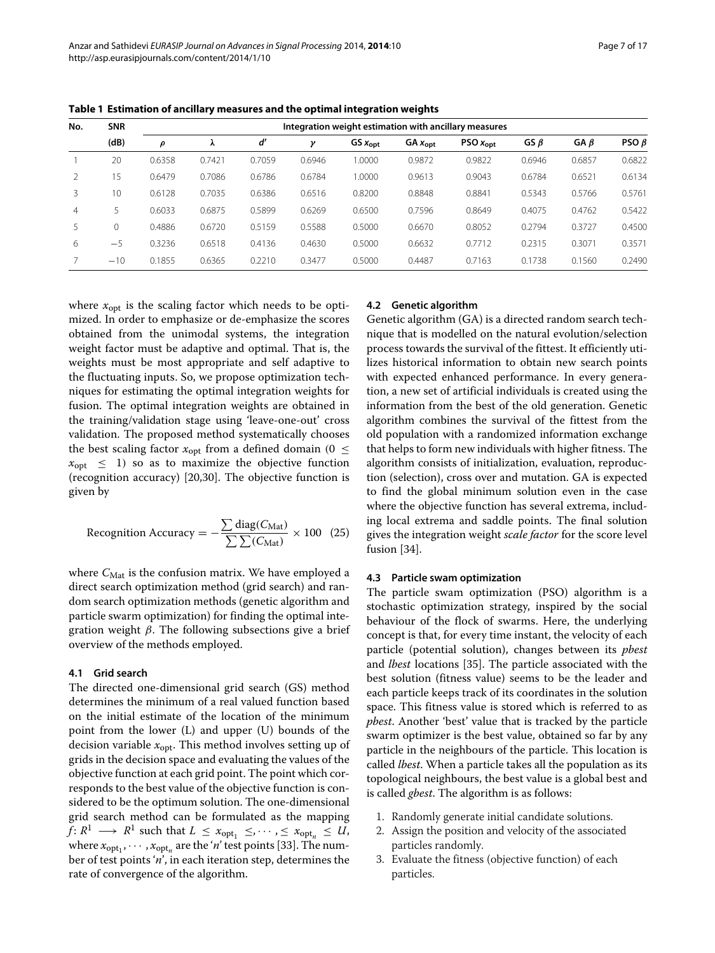| No. | <b>SNR</b><br>(dB) | Integration weight estimation with ancillary measures |           |        |        |              |              |               |            |            |             |
|-----|--------------------|-------------------------------------------------------|-----------|--------|--------|--------------|--------------|---------------|------------|------------|-------------|
|     |                    | ρ                                                     | $\lambda$ | ď      | ν      | $GS x_{opt}$ | $GA x_{opt}$ | $PSO x_{opt}$ | GS $\beta$ | $GA \beta$ | PSO $\beta$ |
|     | 20                 | 0.6358                                                | 0.7421    | 0.7059 | 0.6946 | 1.0000       | 0.9872       | 0.9822        | 0.6946     | 0.6857     | 0.6822      |
|     | 15                 | 0.6479                                                | 0.7086    | 0.6786 | 0.6784 | 1.0000       | 0.9613       | 0.9043        | 0.6784     | 0.6521     | 0.6134      |
|     | 10                 | 0.6128                                                | 0.7035    | 0.6386 | 0.6516 | 0.8200       | 0.8848       | 0.8841        | 0.5343     | 0.5766     | 0.5761      |
| 4   | 5                  | 0.6033                                                | 0.6875    | 0.5899 | 0.6269 | 0.6500       | 0.7596       | 0.8649        | 0.4075     | 0.4762     | 0.5422      |
|     | 0                  | 0.4886                                                | 0.6720    | 0.5159 | 0.5588 | 0.5000       | 0.6670       | 0.8052        | 0.2794     | 0.3727     | 0.4500      |
| 6   | $-5$               | 0.3236                                                | 0.6518    | 0.4136 | 0.4630 | 0.5000       | 0.6632       | 0.7712        | 0.2315     | 0.3071     | 0.3571      |
|     | $-10$              | 0.1855                                                | 0.6365    | 0.2210 | 0.3477 | 0.5000       | 0.4487       | 0.7163        | 0.1738     | 0.1560     | 0.2490      |

<span id="page-6-0"></span>**Table 1 Estimation of ancillary measures and the optimal integration weights**

where  $x_{\text{opt}}$  is the scaling factor which needs to be optimized. In order to emphasize or de-emphasize the scores obtained from the unimodal systems, the integration weight factor must be adaptive and optimal. That is, the weights must be most appropriate and self adaptive to the fluctuating inputs. So, we propose optimization techniques for estimating the optimal integration weights for fusion. The optimal integration weights are obtained in the training/validation stage using 'leave-one-out' cross validation. The proposed method systematically chooses the best scaling factor  $x_{opt}$  from a defined domain (0  $\leq$  $x_{opt} \leq 1$ ) so as to maximize the objective function (recognition accuracy) [\[20](#page-15-14)[,30\]](#page-15-24). The objective function is given by

Reognition Accuracy = 
$$
-\frac{\sum \text{diag}(C_{\text{Mat}})}{\sum \sum (C_{\text{Mat}})} \times 100 \quad (25)
$$

where C<sub>Mat</sub> is the confusion matrix. We have employed a direct search optimization method (grid search) and random search optimization methods (genetic algorithm and particle swarm optimization) for finding the optimal integration weight *β*. The following subsections give a brief overview of the methods employed.

#### **4.1 Grid search**

The directed one-dimensional grid search (GS) method determines the minimum of a real valued function based on the initial estimate of the location of the minimum point from the lower (L) and upper (U) bounds of the decision variable  $x_{\text{opt}}$ . This method involves setting up of grids in the decision space and evaluating the values of the objective function at each grid point. The point which corresponds to the best value of the objective function is considered to be the optimum solution. The one-dimensional grid search method can be formulated as the mapping  $f: R^1 \longrightarrow R^1$  such that  $L \leq x_{\text{opt}_1} \leq, \dots, \leq x_{\text{opt}_n} \leq U$ , where  $x_{\text{opt}_1}, \dots, x_{\text{opt}_n}$  are the '*n*' test points [\[33\]](#page-15-27). The number of test points '*n*', in each iteration step, determines the rate of convergence of the algorithm.

#### **4.2 Genetic algorithm**

Genetic algorithm (GA) is a directed random search technique that is modelled on the natural evolution/selection process towards the survival of the fittest. It efficiently utilizes historical information to obtain new search points with expected enhanced performance. In every generation, a new set of artificial individuals is created using the information from the best of the old generation. Genetic algorithm combines the survival of the fittest from the old population with a randomized information exchange that helps to form new individuals with higher fitness. The algorithm consists of initialization, evaluation, reproduction (selection), cross over and mutation. GA is expected to find the global minimum solution even in the case where the objective function has several extrema, including local extrema and saddle points. The final solution gives the integration weight *scale factor* for the score level fusion [\[34\]](#page-15-28).

#### **4.3 Particle swam optimization**

The particle swam optimization (PSO) algorithm is a stochastic optimization strategy, inspired by the social behaviour of the flock of swarms. Here, the underlying concept is that, for every time instant, the velocity of each particle (potential solution), changes between its *pbest* and *lbest* locations [\[35\]](#page-15-29). The particle associated with the best solution (fitness value) seems to be the leader and each particle keeps track of its coordinates in the solution space. This fitness value is stored which is referred to as *pbest*. Another 'best' value that is tracked by the particle swarm optimizer is the best value, obtained so far by any particle in the neighbours of the particle. This location is called *lbest*. When a particle takes all the population as its topological neighbours, the best value is a global best and is called *gbest*. The algorithm is as follows:

- 1. Randomly generate initial candidate solutions.
- 2. Assign the position and velocity of the associated particles randomly.
- 3. Evaluate the fitness (objective function) of each particles.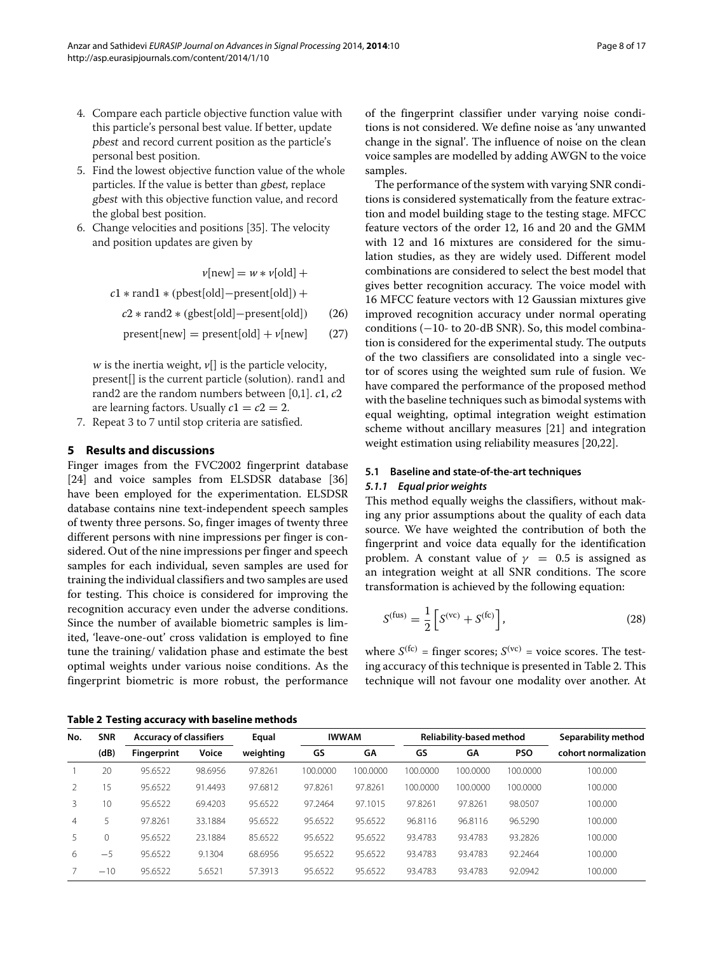- 4. Compare each particle objective function value with this particle's personal best value. If better, update pbest and record current position as the particle's personal best position.
- 5. Find the lowest objective function value of the whole particles. If the value is better than gbest, replace gbest with this objective function value, and record the global best position.
- 6. Change velocities and positions [\[35\]](#page-15-29). The velocity and position updates are given by

 $\nu$ [new] =  $w * \nu$ [old] +

*c*1 ∗ rand1 ∗ *(*pbest[old]−present[old]*)* +

$$
c2 * rand2 * (gbest[old] - present[old]) \qquad (26)
$$

$$
present(new] = present[old] + v(new] \qquad (27)
$$

<sup>w</sup> is the inertia weight, *v*[] is the particle velocity, present[] is the current particle (solution). rand1 and rand2 are the random numbers between [0,1]. *c*1, *c*2 are learning factors. Usually  $c1 = c2 = 2$ .

7. Repeat 3 to 7 until stop criteria are satisfied.

# <span id="page-7-0"></span>**5 Results and discussions**

Finger images from the FVC2002 fingerprint database [\[24\]](#page-15-18) and voice samples from ELSDSR database [\[36\]](#page-15-30) have been employed for the experimentation. ELSDSR database contains nine text-independent speech samples of twenty three persons. So, finger images of twenty three different persons with nine impressions per finger is considered. Out of the nine impressions per finger and speech samples for each individual, seven samples are used for training the individual classifiers and two samples are used for testing. This choice is considered for improving the recognition accuracy even under the adverse conditions. Since the number of available biometric samples is limited, 'leave-one-out' cross validation is employed to fine tune the training/ validation phase and estimate the best optimal weights under various noise conditions. As the fingerprint biometric is more robust, the performance of the fingerprint classifier under varying noise conditions is not considered. We define noise as 'any unwanted change in the signal'. The influence of noise on the clean voice samples are modelled by adding AWGN to the voice samples.

The performance of the system with varying SNR conditions is considered systematically from the feature extraction and model building stage to the testing stage. MFCC feature vectors of the order 12, 16 and 20 and the GMM with 12 and 16 mixtures are considered for the simulation studies, as they are widely used. Different model combinations are considered to select the best model that gives better recognition accuracy. The voice model with 16 MFCC feature vectors with 12 Gaussian mixtures give improved recognition accuracy under normal operating conditions (−10- to 20-dB SNR). So, this model combination is considered for the experimental study. The outputs of the two classifiers are consolidated into a single vector of scores using the weighted sum rule of fusion. We have compared the performance of the proposed method with the baseline techniques such as bimodal systems with equal weighting, optimal integration weight estimation scheme without ancillary measures [\[21\]](#page-15-15) and integration weight estimation using reliability measures [\[20](#page-15-14)[,22\]](#page-15-16).

# **5.1 Baseline and state-of-the-art techniques**

# *5.1.1 Equal prior weights*

This method equally weighs the classifiers, without making any prior assumptions about the quality of each data source. We have weighted the contribution of both the fingerprint and voice data equally for the identification problem. A constant value of  $\gamma = 0.5$  is assigned as an integration weight at all SNR conditions. The score transformation is achieved by the following equation:

$$
S^{(\text{fus})} = \frac{1}{2} \left[ S^{(\text{vc})} + S^{(\text{fc})} \right],\tag{28}
$$

where  $S^{(fc)}$  = finger scores;  $S^{(vc)}$  = voice scores. The testing accuracy of this technique is presented in Table [2.](#page-7-1) This technique will not favour one modality over another. At

**Table 2 Testing accuracy with baseline methods**

<span id="page-7-1"></span>

| No. | <b>SNR</b> | <b>Accuracy of classifiers</b> |         | Equal     | <b>IWWAM</b> |          | Reliability-based method |          |            | Separability method  |
|-----|------------|--------------------------------|---------|-----------|--------------|----------|--------------------------|----------|------------|----------------------|
|     | (dB)       | <b>Fingerprint</b>             | Voice   | weighting | GS           | GΑ       | GS                       | GΑ       | <b>PSO</b> | cohort normalization |
|     | 20         | 95.6522                        | 98.6956 | 97.8261   | 100.0000     | 100.0000 | 100.0000                 | 100.0000 | 100,0000   | 100.000              |
|     | 15         | 95.6522                        | 91.4493 | 97.6812   | 97.8261      | 97.8261  | 100.0000                 | 100.0000 | 100,0000   | 100.000              |
| 3   | 10         | 95.6522                        | 69.4203 | 95.6522   | 97.2464      | 97.1015  | 97.8261                  | 97.8261  | 98.0507    | 100.000              |
| 4   |            | 97.8261                        | 33.1884 | 95.6522   | 95.6522      | 95.6522  | 96.8116                  | 96.8116  | 96.5290    | 100.000              |
| 5   | $\Omega$   | 95.6522                        | 23.1884 | 85.6522   | 95.6522      | 95.6522  | 93.4783                  | 93.4783  | 93.2826    | 100.000              |
| 6   | $-5$       | 95.6522                        | 9.1304  | 68.6956   | 95.6522      | 95.6522  | 93.4783                  | 93.4783  | 92.2464    | 100.000              |
|     | $-10$      | 95.6522                        | 5.6521  | 57.3913   | 95.6522      | 95.6522  | 93.4783                  | 93.4783  | 92.0942    | 100.000              |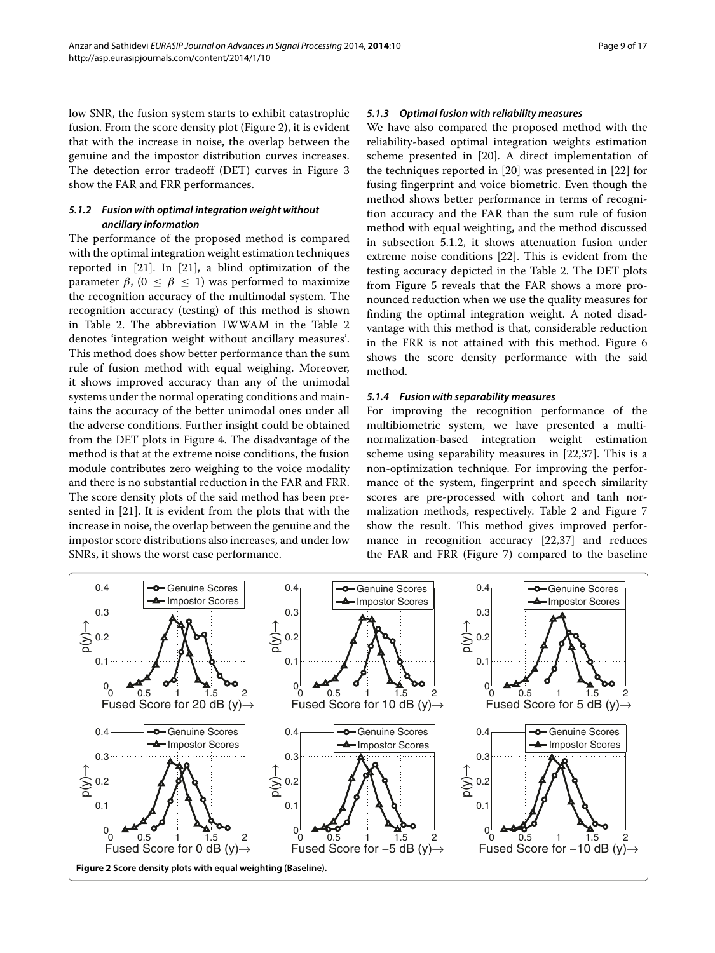low SNR, the fusion system starts to exhibit catastrophic fusion. From the score density plot (Figure [2\)](#page-8-0), it is evident that with the increase in noise, the overlap between the genuine and the impostor distribution curves increases. The detection error tradeoff (DET) curves in Figure [3](#page-9-0) show the FAR and FRR performances.

# <span id="page-8-1"></span>*5.1.2 Fusion with optimal integration weight without ancillary information*

The performance of the proposed method is compared with the optimal integration weight estimation techniques reported in [\[21\]](#page-15-15). In [\[21\]](#page-15-15), a blind optimization of the parameter *β*,  $(0 < β < 1)$  was performed to maximize the recognition accuracy of the multimodal system. The recognition accuracy (testing) of this method is shown in Table [2.](#page-7-1) The abbreviation IWWAM in the Table [2](#page-7-1) denotes 'integration weight without ancillary measures'. This method does show better performance than the sum rule of fusion method with equal weighing. Moreover, it shows improved accuracy than any of the unimodal systems under the normal operating conditions and maintains the accuracy of the better unimodal ones under all the adverse conditions. Further insight could be obtained from the DET plots in Figure [4.](#page-9-1) The disadvantage of the method is that at the extreme noise conditions, the fusion module contributes zero weighing to the voice modality and there is no substantial reduction in the FAR and FRR. The score density plots of the said method has been presented in [\[21\]](#page-15-15). It is evident from the plots that with the increase in noise, the overlap between the genuine and the impostor score distributions also increases, and under low SNRs, it shows the worst case performance.

# *5.1.3 Optimal fusion with reliability measures*

We have also compared the proposed method with the reliability-based optimal integration weights estimation scheme presented in [\[20\]](#page-15-14). A direct implementation of the techniques reported in [\[20\]](#page-15-14) was presented in [\[22\]](#page-15-16) for fusing fingerprint and voice biometric. Even though the method shows better performance in terms of recognition accuracy and the FAR than the sum rule of fusion method with equal weighting, and the method discussed in subsection [5.1.2,](#page-8-1) it shows attenuation fusion under extreme noise conditions [\[22\]](#page-15-16). This is evident from the testing accuracy depicted in the Table [2.](#page-7-1) The DET plots from Figure [5](#page-10-0) reveals that the FAR shows a more pronounced reduction when we use the quality measures for finding the optimal integration weight. A noted disadvantage with this method is that, considerable reduction in the FRR is not attained with this method. Figure [6](#page-10-1) shows the score density performance with the said method.

# <span id="page-8-2"></span>*5.1.4 Fusion with separability measures*

For improving the recognition performance of the multibiometric system, we have presented a multinormalization-based integration weight estimation scheme using separability measures in [\[22](#page-15-16)[,37\]](#page-15-31). This is a non-optimization technique. For improving the performance of the system, fingerprint and speech similarity scores are pre-processed with cohort and tanh normalization methods, respectively. Table [2](#page-7-1) and Figure [7](#page-11-0) show the result. This method gives improved performance in recognition accuracy [\[22,](#page-15-16)[37\]](#page-15-31) and reduces the FAR and FRR (Figure [7\)](#page-11-0) compared to the baseline

<span id="page-8-0"></span>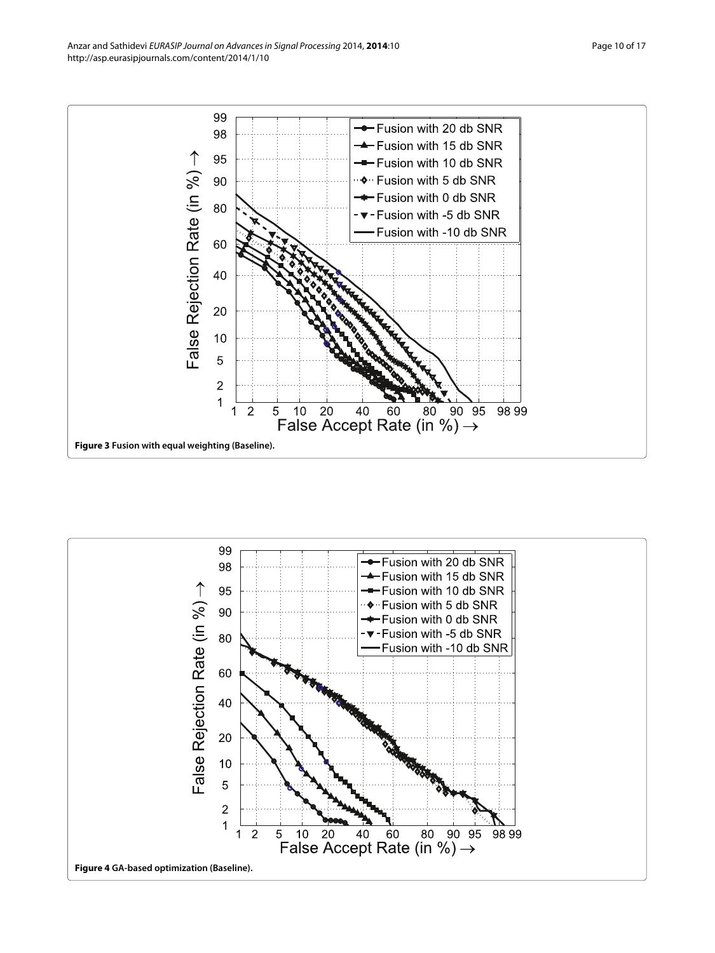Anzar and Sathidevi *EURASIP Journal on Advances in Signal Processing* 2014, **2014**:10 Page 10 of 17 http://asp.eurasipjournals.com/content/2014/1/10



<span id="page-9-1"></span><span id="page-9-0"></span>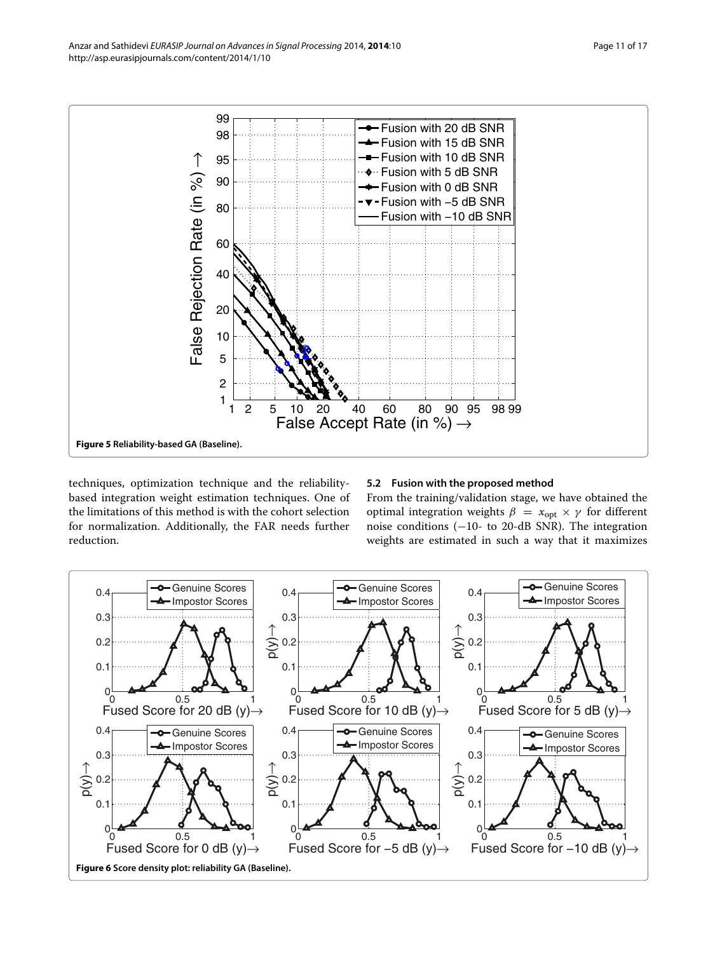

<span id="page-10-0"></span>techniques, optimization technique and the reliabilitybased integration weight estimation techniques. One of the limitations of this method is with the cohort selection for normalization. Additionally, the FAR needs further reduction.

# **5.2 Fusion with the proposed method**

From the training/validation stage, we have obtained the optimal integration weights  $\beta = x_{opt} \times \gamma$  for different noise conditions (−10- to 20-dB SNR). The integration weights are estimated in such a way that it maximizes

<span id="page-10-1"></span>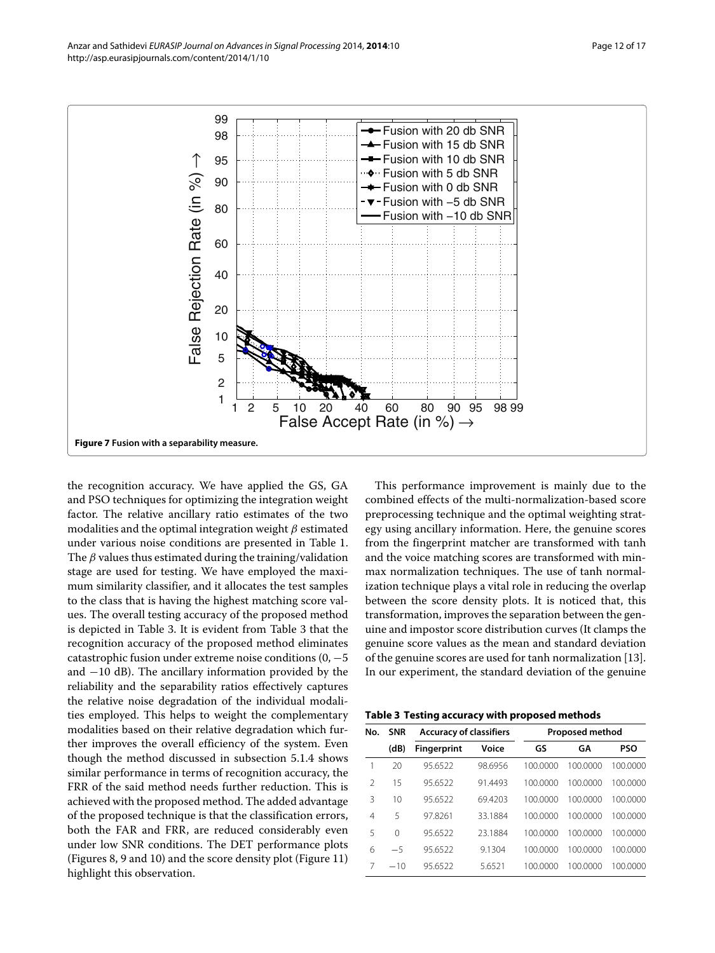

<span id="page-11-0"></span>the recognition accuracy. We have applied the GS, GA and PSO techniques for optimizing the integration weight factor. The relative ancillary ratio estimates of the two modalities and the optimal integration weight *β* estimated under various noise conditions are presented in Table [1.](#page-6-0) The *β* values thus estimated during the training/validation stage are used for testing. We have employed the maximum similarity classifier, and it allocates the test samples to the class that is having the highest matching score values. The overall testing accuracy of the proposed method is depicted in Table [3.](#page-11-1) It is evident from Table [3](#page-11-1) that the recognition accuracy of the proposed method eliminates catastrophic fusion under extreme noise conditions  $(0, -5)$ and −10 dB). The ancillary information provided by the reliability and the separability ratios effectively captures the relative noise degradation of the individual modalities employed. This helps to weight the complementary modalities based on their relative degradation which further improves the overall efficiency of the system. Even though the method discussed in subsection [5.1.4](#page-8-2) shows similar performance in terms of recognition accuracy, the FRR of the said method needs further reduction. This is achieved with the proposed method. The added advantage of the proposed technique is that the classification errors, both the FAR and FRR, are reduced considerably even under low SNR conditions. The DET performance plots (Figures [8,](#page-12-0) [9](#page-12-1) and [10\)](#page-13-0) and the score density plot (Figure [11\)](#page-13-1) highlight this observation.

This performance improvement is mainly due to the combined effects of the multi-normalization-based score preprocessing technique and the optimal weighting strategy using ancillary information. Here, the genuine scores from the fingerprint matcher are transformed with tanh and the voice matching scores are transformed with minmax normalization techniques. The use of tanh normalization technique plays a vital role in reducing the overlap between the score density plots. It is noticed that, this transformation, improves the separation between the genuine and impostor score distribution curves (It clamps the genuine score values as the mean and standard deviation of the genuine scores are used for tanh normalization [\[13\]](#page-15-4). In our experiment, the standard deviation of the genuine

**Table 3 Testing accuracy with proposed methods**

<span id="page-11-1"></span>

| No.           | <b>SNR</b> | <b>Accuracy of classifiers</b> |         | <b>Proposed method</b> |          |            |  |  |
|---------------|------------|--------------------------------|---------|------------------------|----------|------------|--|--|
|               | (dB)       | <b>Fingerprint</b>             | Voice   | GS                     | GΑ       | <b>PSO</b> |  |  |
|               | 20         | 95.6522                        | 98.6956 | 100.0000               | 100.0000 | 100.0000   |  |  |
| $\mathcal{P}$ | 15         | 95.6522                        | 914493  | 100.0000               | 100.0000 | 100.0000   |  |  |
| 3             | 10         | 95.6522                        | 694203  | 100.0000               | 100.0000 | 100.0000   |  |  |
| 4             | 5          | 97.8261                        | 33.1884 | 100.0000               | 100.0000 | 100.0000   |  |  |
| 5             | $\Omega$   | 956522                         | 23.1884 | 100.0000               | 100.0000 | 100,0000   |  |  |
| 6             | $-5$       | 95.6522                        | 9.1304  | 100.0000               | 100.0000 | 100.0000   |  |  |
| 7             | $-10$      | 95.6522                        | 5.6521  | 100.0000               | 100.0000 | 100.0000   |  |  |
|               |            |                                |         |                        |          |            |  |  |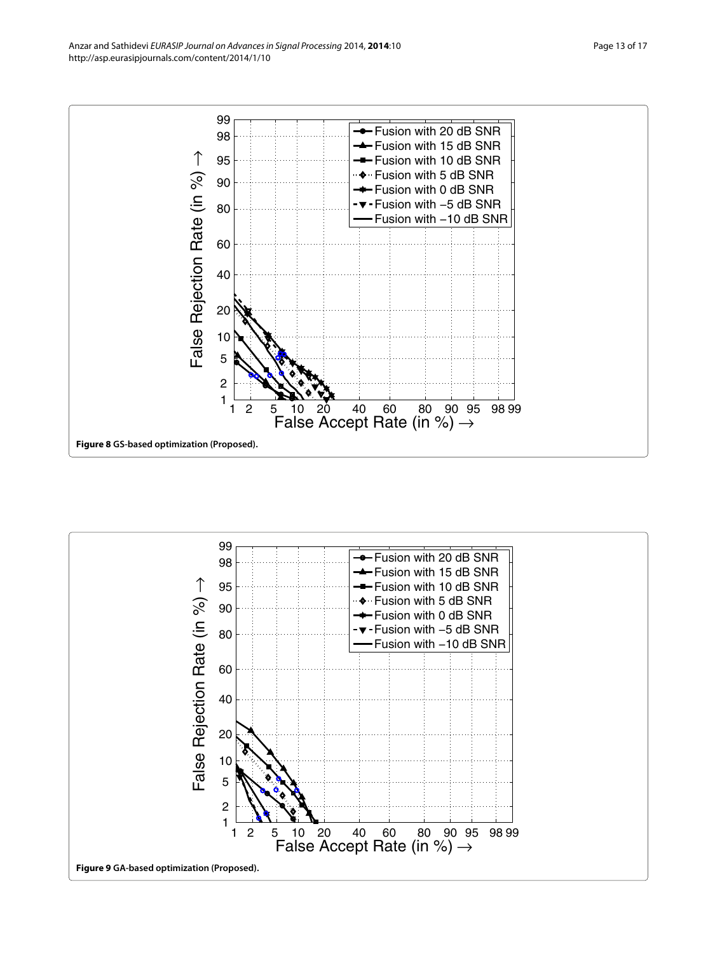



<span id="page-12-1"></span><span id="page-12-0"></span>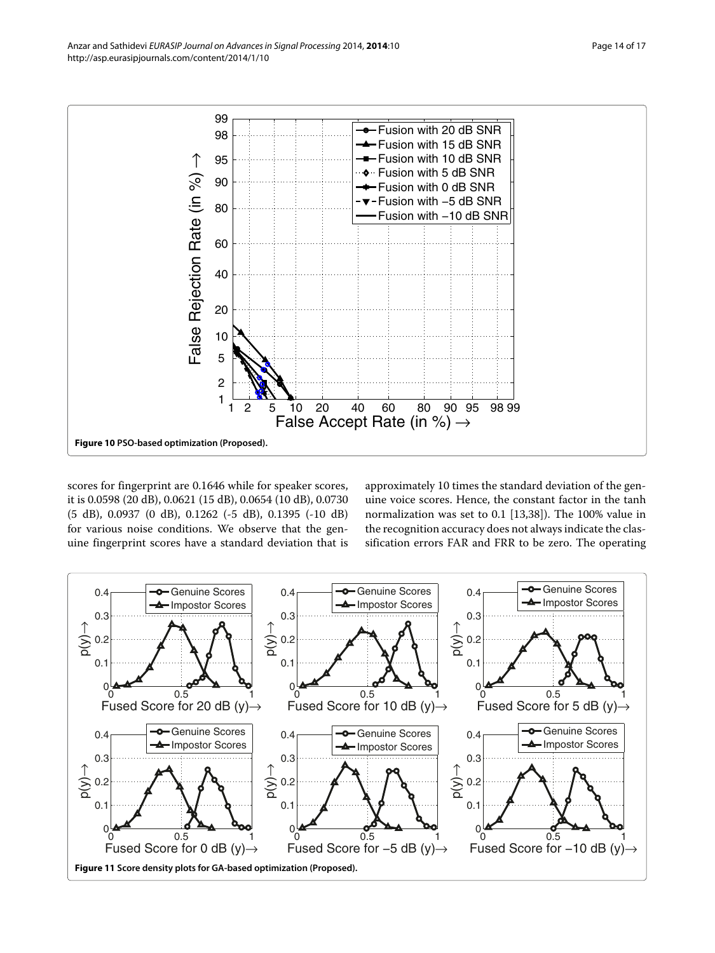

<span id="page-13-0"></span>scores for fingerprint are 0.1646 while for speaker scores, it is 0.0598 (20 dB), 0.0621 (15 dB), 0.0654 (10 dB), 0.0730 (5 dB), 0.0937 (0 dB), 0.1262 (-5 dB), 0.1395 (-10 dB) for various noise conditions. We observe that the genuine fingerprint scores have a standard deviation that is

approximately 10 times the standard deviation of the genuine voice scores. Hence, the constant factor in the tanh normalization was set to 0.1 [\[13,](#page-15-4)[38\]](#page-16-0)). The 100% value in the recognition accuracy does not always indicate the classification errors FAR and FRR to be zero. The operating

<span id="page-13-1"></span>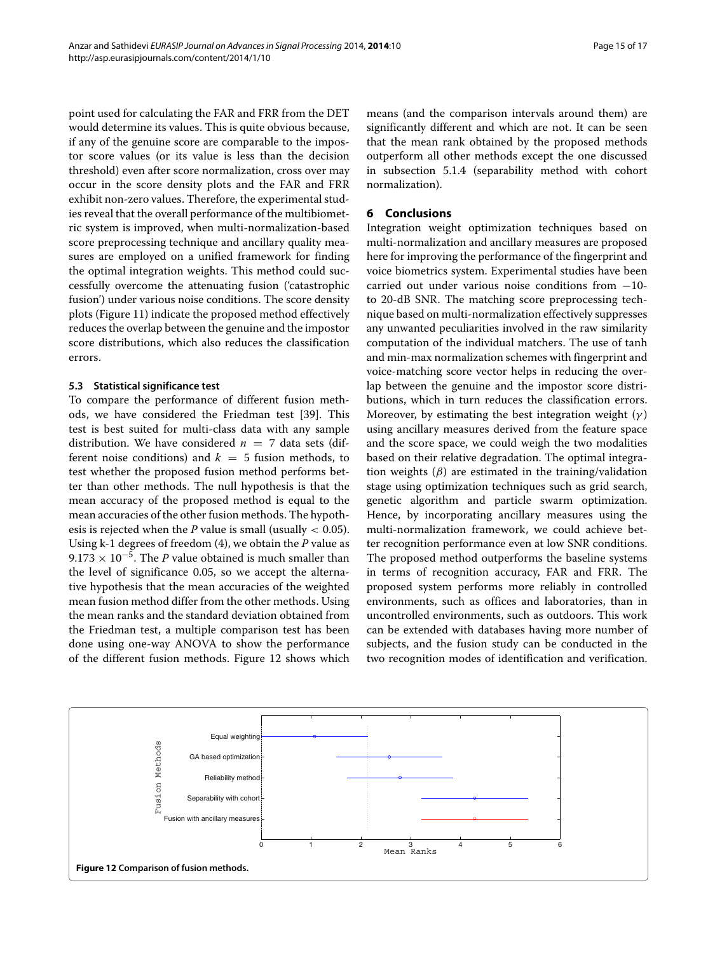point used for calculating the FAR and FRR from the DET would determine its values. This is quite obvious because, if any of the genuine score are comparable to the impostor score values (or its value is less than the decision threshold) even after score normalization, cross over may occur in the score density plots and the FAR and FRR exhibit non-zero values. Therefore, the experimental studies reveal that the overall performance of the multibiometric system is improved, when multi-normalization-based score preprocessing technique and ancillary quality measures are employed on a unified framework for finding the optimal integration weights. This method could successfully overcome the attenuating fusion ('catastrophic fusion') under various noise conditions. The score density plots (Figure [11\)](#page-13-1) indicate the proposed method effectively reduces the overlap between the genuine and the impostor score distributions, which also reduces the classification errors.

# **5.3 Statistical significance test**

To compare the performance of different fusion methods, we have considered the Friedman test [\[39\]](#page-16-1). This test is best suited for multi-class data with any sample distribution. We have considered  $n = 7$  data sets (different noise conditions) and  $k = 5$  fusion methods, to test whether the proposed fusion method performs better than other methods. The null hypothesis is that the mean accuracy of the proposed method is equal to the mean accuracies of the other fusion methods. The hypothesis is rejected when the *P* value is small (usually *<* 0.05). Using k-1 degrees of freedom (4), we obtain the *P* value as  $9.173 \times 10^{-5}$ . The *P* value obtained is much smaller than the level of significance 0.05, so we accept the alternative hypothesis that the mean accuracies of the weighted mean fusion method differ from the other methods. Using the mean ranks and the standard deviation obtained from the Friedman test, a multiple comparison test has been done using one-way ANOVA to show the performance of the different fusion methods. Figure [12](#page-14-0) shows which means (and the comparison intervals around them) are significantly different and which are not. It can be seen that the mean rank obtained by the proposed methods outperform all other methods except the one discussed in subsection [5.1.4](#page-8-2) (separability method with cohort normalization).

# **6 Conclusions**

Integration weight optimization techniques based on multi-normalization and ancillary measures are proposed here for improving the performance of the fingerprint and voice biometrics system. Experimental studies have been carried out under various noise conditions from −10 to 20-dB SNR. The matching score preprocessing technique based on multi-normalization effectively suppresses any unwanted peculiarities involved in the raw similarity computation of the individual matchers. The use of tanh and min-max normalization schemes with fingerprint and voice-matching score vector helps in reducing the overlap between the genuine and the impostor score distributions, which in turn reduces the classification errors. Moreover, by estimating the best integration weight (*γ* ) using ancillary measures derived from the feature space and the score space, we could weigh the two modalities based on their relative degradation. The optimal integration weights (*β*) are estimated in the training/validation stage using optimization techniques such as grid search, genetic algorithm and particle swarm optimization. Hence, by incorporating ancillary measures using the multi-normalization framework, we could achieve better recognition performance even at low SNR conditions. The proposed method outperforms the baseline systems in terms of recognition accuracy, FAR and FRR. The proposed system performs more reliably in controlled environments, such as offices and laboratories, than in uncontrolled environments, such as outdoors. This work can be extended with databases having more number of subjects, and the fusion study can be conducted in the two recognition modes of identification and verification.

<span id="page-14-0"></span>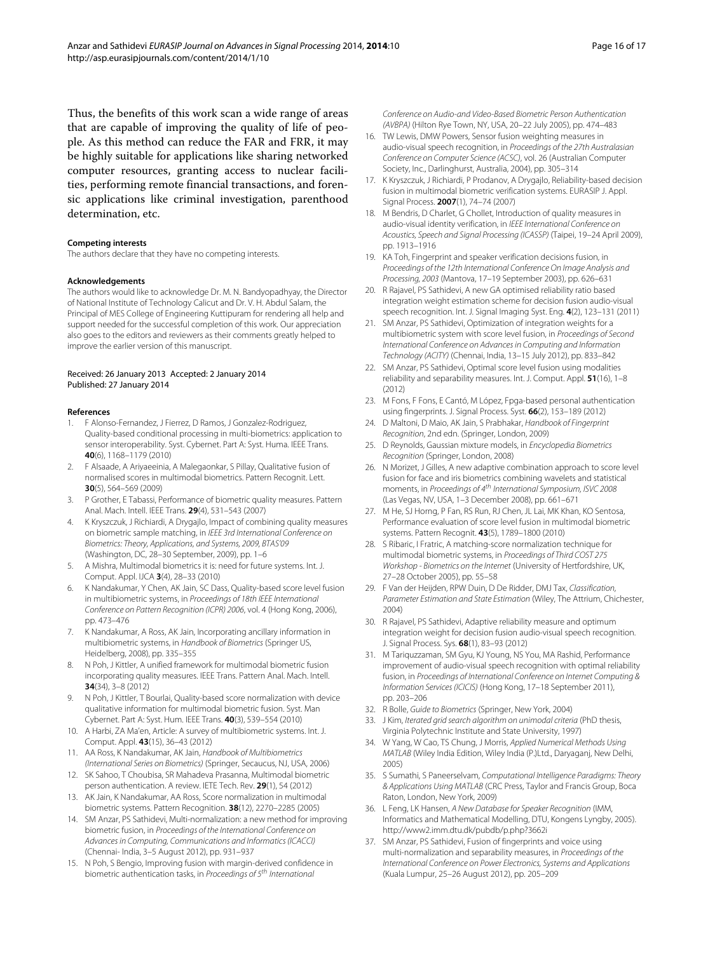Thus, the benefits of this work scan a wide range of areas that are capable of improving the quality of life of people. As this method can reduce the FAR and FRR, it may be highly suitable for applications like sharing networked computer resources, granting access to nuclear facilities, performing remote financial transactions, and forensic applications like criminal investigation, parenthood determination, etc.

#### **Competing interests**

The authors declare that they have no competing interests.

#### **Acknowledgements**

The authors would like to acknowledge Dr. M. N. Bandyopadhyay, the Director of National Institute of Technology Calicut and Dr. V. H. Abdul Salam, the Principal of MES College of Engineering Kuttipuram for rendering all help and support needed for the successful completion of this work. Our appreciation also goes to the editors and reviewers as their comments greatly helped to improve the earlier version of this manuscript.

#### Received: 26 January 2013 Accepted: 2 January 2014 Published: 27 January 2014

#### **References**

- <span id="page-15-0"></span>1. F Alonso-Fernandez, J Fierrez, D Ramos, J Gonzalez-Rodriguez, Quality-based conditional processing in multi-biometrics: application to sensor interoperability. Syst. Cybernet. Part A: Syst. Huma. IEEE Trans. **40**(6), 1168–1179 (2010)
- <span id="page-15-12"></span>2. F Alsaade, A Ariyaeeinia, A Malegaonkar, S Pillay, Qualitative fusion of normalised scores in multimodal biometrics. Pattern Recognit. Lett. **30**(5), 564–569 (2009)
- 3. P Grother, E Tabassi, Performance of biometric quality measures. Pattern Anal. Mach. Intell. IEEE Trans. **29**(4), 531–543 (2007)
- 4. K Kryszczuk, J Richiardi, A Drygajlo, Impact of combining quality measures on biometric sample matching, in IEEE 3rd International Conference on Biometrics: Theory, Applications, and Systems, 2009, BTAS'09 (Washington, DC, 28–30 September, 2009), pp. 1–6
- 5. A Mishra, Multimodal biometrics it is: need for future systems. Int. J. Comput. Appl. IJCA **3**(4), 28–33 (2010)
- <span id="page-15-8"></span>6. K Nandakumar, Y Chen, AK Jain, SC Dass, Quality-based score level fusion in multibiometric systems, in Proceedings of 18th IEEE International Conference on Pattern Recognition (ICPR) 2006, vol. 4 (Hong Kong, 2006), pp. 473–476
- 7. K Nandakumar, A Ross, AK Jain, Incorporating ancillary information in multibiometric systems, in Handbook of Biometrics (Springer US, Heidelberg, 2008), pp. 335–355
- 8. N Poh, J Kittler, A unified framework for multimodal biometric fusion incorporating quality measures. IEEE Trans. Pattern Anal. Mach. Intell. **34**(34), 3–8 (2012)
- <span id="page-15-1"></span>N Poh, J Kittler, T Bourlai, Quality-based score normalization with device qualitative information for multimodal biometric fusion. Syst. Man Cybernet. Part A: Syst. Hum. IEEE Trans. **40**(3), 539–554 (2010)
- <span id="page-15-2"></span>10. A Harbi, ZA Ma'en, Article: A survey of multibiometric systems. Int. J. Comput. Appl. **43**(15), 36–43 (2012)
- <span id="page-15-5"></span>11. AA Ross, K Nandakumar, AK Jain, Handbook of Multibiometrics (International Series on Biometrics) (Springer, Secaucus, NJ, USA, 2006)
- <span id="page-15-3"></span>12. SK Sahoo, T Choubisa, SR Mahadeva Prasanna, Multimodal biometric person authentication. A review. IETE Tech. Rev. **29**(1), 54 (2012)
- <span id="page-15-4"></span>13. AK Jain, K Nandakumar, AA Ross, Score normalization in multimodal biometric systems. Pattern Recognition. **38**(12), 2270–2285 (2005)
- <span id="page-15-6"></span>14. SM Anzar, PS Sathidevi, Multi-normalization: a new method for improving biometric fusion, in Proceedings of the International Conference on Advances in Computing, Communications and Informatics (ICACCI) (Chennai- India, 3–5 August 2012), pp. 931–937
- <span id="page-15-7"></span>15. N Poh, S Bengio, Improving fusion with margin-derived confidence in biometric authentication tasks, in Proceedings of  $5<sup>th</sup>$  International

Conference on Audio-and Video-Based Biometric Person Authentication (AVBPA) (Hilton Rye Town, NY, USA, 20–22 July 2005), pp. 474–483

- <span id="page-15-9"></span>16. TW Lewis, DMW Powers, Sensor fusion weighting measures in audio-visual speech recognition, in Proceedings of the 27th Australasian Conference on Computer Science (ACSC), vol. 26 (Australian Computer Society, Inc., Darlinghurst, Australia, 2004), pp. 305–314
- <span id="page-15-10"></span>17. K Kryszczuk, J Richiardi, P Prodanov, A Drygajlo, Reliability-based decision fusion in multimodal biometric verification systems. EURASIP J. Appl. Signal Process. **2007**(1), 74–74 (2007)
- <span id="page-15-11"></span>18. M Bendris, D Charlet, G Chollet, Introduction of quality measures in audio-visual identity verification, in IEEE International Conference on Acoustics, Speech and Signal Processing (ICASSP) (Taipei, 19–24 April 2009), pp. 1913–1916
- <span id="page-15-13"></span>19. KA Toh, Fingerprint and speaker verification decisions fusion, in Proceedings of the 12th International Conference On Image Analysis and Processing, 2003 (Mantova, 17–19 September 2003), pp. 626–631
- <span id="page-15-14"></span>20. R Rajavel, PS Sathidevi, A new GA optimised reliability ratio based integration weight estimation scheme for decision fusion audio-visual speech recognition. Int. J. Signal Imaging Syst. Eng. **4**(2), 123–131 (2011)
- <span id="page-15-15"></span>21. SM Anzar, PS Sathidevi, Optimization of integration weights for a multibiometric system with score level fusion, in Proceedings of Second International Conference on Advances in Computing and Information Technology (ACITY) (Chennai, India, 13–15 July 2012), pp. 833–842
- <span id="page-15-16"></span>22. SM Anzar, PS Sathidevi, Optimal score level fusion using modalities reliability and separability measures. Int. J. Comput. Appl. **51**(16), 1–8 (2012)
- <span id="page-15-17"></span>23. M Fons, F Fons, E Cantó, M López, Fpga-based personal authentication using fingerprints. J. Signal Process. Syst. **66**(2), 153–189 (2012)
- <span id="page-15-18"></span>24. D Maltoni, D Maio, AK Jain, S Prabhakar, Handbook of Fingerprint Recognition, 2nd edn. (Springer, London, 2009)
- <span id="page-15-19"></span>25. D Reynolds, Gaussian mixture models, in Encyclopedia Biometrics Recognition (Springer, London, 2008)
- <span id="page-15-20"></span>26. N Morizet, J Gilles, A new adaptive combination approach to score level fusion for face and iris biometrics combining wavelets and statistical moments, in Proceedings of 4<sup>th</sup> International Symposium, ISVC 2008 (Las Vegas, NV, USA, 1–3 December 2008), pp. 661–671
- <span id="page-15-21"></span>27. M He, SJ Horng, P Fan, RS Run, RJ Chen, JL Lai, MK Khan, KO Sentosa, Performance evaluation of score level fusion in multimodal biometric systems. Pattern Recognit. **43**(5), 1789–1800 (2010)
- <span id="page-15-22"></span>28. S Ribaric, I Fratric, A matching-score normalization technique for multimodal biometric systems, in Proceedings of Third COST 275 Workshop - Biometrics on the Internet (University of Hertfordshire, UK, 27–28 October 2005), pp. 55–58
- <span id="page-15-23"></span>29. F Van der Heijden, RPW Duin, D De Ridder, DMJ Tax, Classification, Parameter Estimation and State Estimation (Wiley, The Attrium, Chichester, 2004)
- <span id="page-15-24"></span>30. R Rajavel, PS Sathidevi, Adaptive reliability measure and optimum integration weight for decision fusion audio-visual speech recognition. J. Signal Process. Sys. **68**(1), 83–93 (2012)
- <span id="page-15-25"></span>31. M Tariquzzaman, SM Gyu, KJ Young, NS You, MA Rashid, Performance improvement of audio-visual speech recognition with optimal reliability fusion, in Proceedings of International Conference on Internet Computing & Information Services (ICICIS) (Hong Kong, 17–18 September 2011), pp. 203–206
- <span id="page-15-26"></span>32. R Bolle, Guide to Biometrics (Springer, New York, 2004)
- <span id="page-15-27"></span>33. J Kim, Iterated grid search algorithm on unimodal criteria (PhD thesis, Virginia Polytechnic Institute and State University, 1997)
- <span id="page-15-28"></span>34. W Yang, W Cao, TS Chung, J Morris, Applied Numerical Methods Using MATLAB (Wiley India Edition, Wiley India (P.)Ltd., Daryaganj, New Delhi, 2005)
- <span id="page-15-29"></span>35. S Sumathi, S Paneerselvam, Computational Intelligence Paradigms: Theory & Applications Using MATLAB (CRC Press, Taylor and Francis Group, Boca Raton, London, New York, 2009)
- <span id="page-15-30"></span>36. L Feng, LK Hansen, A New Database for Speaker Recognition (IMM, Informatics and Mathematical Modelling, DTU, Kongens Lyngby, 2005). <http://www2.imm.dtu.dk/pubdb/p.php?3662i>
- <span id="page-15-31"></span>37. SM Anzar, PS Sathidevi, Fusion of fingerprints and voice using multi-normalization and separability measures, in Proceedings of the International Conference on Power Electronics, Systems and Applications (Kuala Lumpur, 25–26 August 2012), pp. 205–209